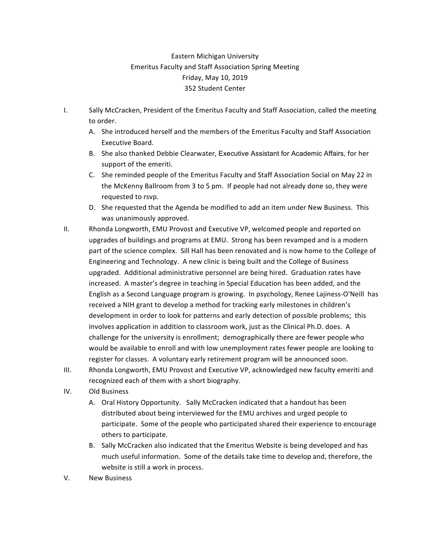## Eastern Michigan University Emeritus Faculty and Staff Association Spring Meeting Friday, May 10, 2019 352 Student Center

- I. Sally McCracken, President of the Emeritus Faculty and Staff Association, called the meeting to order.
	- A. She introduced herself and the members of the Emeritus Faculty and Staff Association Executive Board.
	- B. She also thanked Debbie Clearwater, Executive Assistant for Academic Affairs, for her support of the emeriti.
	- C. She reminded people of the Emeritus Faculty and Staff Association Social on May 22 in the McKenny Ballroom from 3 to 5 pm. If people had not already done so, they were requested to rsvp.
	- D. She requested that the Agenda be modified to add an item under New Business. This was unanimously approved.
- II. Rhonda Longworth, EMU Provost and Executive VP, welcomed people and reported on upgrades of buildings and programs at EMU. Strong has been revamped and is a modern part of the science complex. Sill Hall has been renovated and is now home to the College of Engineering and Technology. A new clinic is being built and the College of Business upgraded. Additional administrative personnel are being hired. Graduation rates have increased. A master's degree in teaching in Special Education has been added, and the English as a Second Language program is growing. In psychology, Renee Lajiness-O'Neill has received a NIH grant to develop a method for tracking early milestones in children's development in order to look for patterns and early detection of possible problems; this involves application in addition to classroom work, just as the Clinical Ph.D. does. A challenge for the university is enrollment; demographically there are fewer people who would be available to enroll and with low unemployment rates fewer people are looking to register for classes. A voluntary early retirement program will be announced soon.
- III. Rhonda Longworth, EMU Provost and Executive VP, acknowledged new faculty emeriti and recognized each of them with a short biography.
- IV. Old Business
	- A. Oral History Opportunity. Sally McCracken indicated that a handout has been distributed about being interviewed for the EMU archives and urged people to participate. Some of the people who participated shared their experience to encourage others to participate.
	- B. Sally McCracken also indicated that the Emeritus Website is being developed and has much useful information. Some of the details take time to develop and, therefore, the website is still a work in process.
- V. New Business